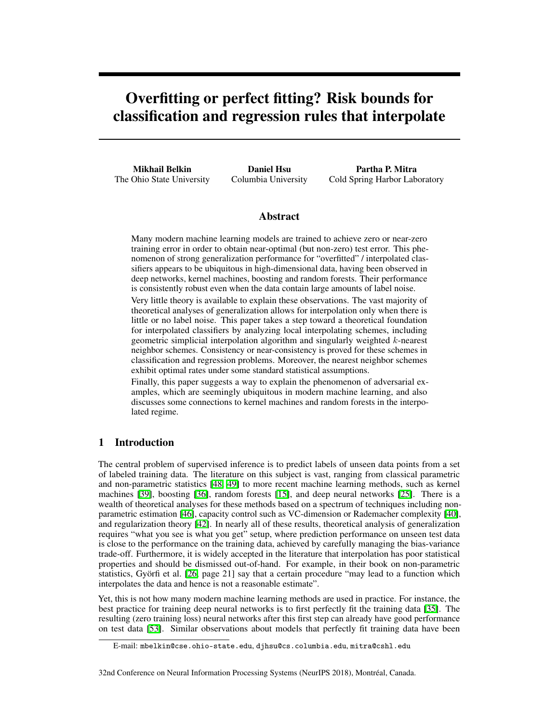# Overfitting or perfect fitting? Risk bounds for classification and regression rules that interpolate

Mikhail Belkin The Ohio State University

Daniel Hsu Columbia University

Partha P. Mitra Cold Spring Harbor Laboratory

## Abstract

Many modern machine learning models are trained to achieve zero or near-zero training error in order to obtain near-optimal (but non-zero) test error. This phenomenon of strong generalization performance for "overfitted" / interpolated classifiers appears to be ubiquitous in high-dimensional data, having been observed in deep networks, kernel machines, boosting and random forests. Their performance is consistently robust even when the data contain large amounts of label noise.

Very little theory is available to explain these observations. The vast majority of theoretical analyses of generalization allows for interpolation only when there is little or no label noise. This paper takes a step toward a theoretical foundation for interpolated classifiers by analyzing local interpolating schemes, including geometric simplicial interpolation algorithm and singularly weighted *k*-nearest neighbor schemes. Consistency or near-consistency is proved for these schemes in classification and regression problems. Moreover, the nearest neighbor schemes exhibit optimal rates under some standard statistical assumptions.

Finally, this paper suggests a way to explain the phenomenon of adversarial examples, which are seemingly ubiquitous in modern machine learning, and also discusses some connections to kernel machines and random forests in the interpolated regime.

# 1 Introduction

The central problem of supervised inference is to predict labels of unseen data points from a set of labeled training data. The literature on this subject is vast, ranging from classical parametric and non-parametric statistics  $[48, 49]$  $[48, 49]$  $[48, 49]$  to more recent machine learning methods, such as kernel machines  $[39]$ , boosting  $[36]$ , random forests  $[15]$ , and deep neural networks  $[25]$ . There is a wealth of theoretical analyses for these methods based on a spectrum of techniques including nonparametric estimation [\[46\]](#page-11-3), capacity control such as VC-dimension or Rademacher complexity [\[40\]](#page-11-4), and regularization theory  $[42]$ . In nearly all of these results, theoretical analysis of generalization requires "what you see is what you get" setup, where prediction performance on unseen test data is close to the performance on the training data, achieved by carefully managing the bias-variance trade-off. Furthermore, it is widely accepted in the literature that interpolation has poor statistical properties and should be dismissed out-of-hand. For example, in their book on non-parametric statistics, Györfi et al.  $[26]$  page 21] say that a certain procedure "may lead to a function which interpolates the data and hence is not a reasonable estimate".

Yet, this is not how many modern machine learning methods are used in practice. For instance, the best practice for training deep neural networks is to first perfectly fit the training data [\[35\]](#page-10-3). The resulting (zero training loss) neural networks after this first step can already have good performance on test data  $[53]$ . Similar observations about models that perfectly fit training data have been

E-mail: mbelkin@cse.ohio-state.edu, djhsu@cs.columbia.edu, mitra@cshl.edu

<sup>32</sup>nd Conference on Neural Information Processing Systems (NeurIPS 2018), Montréal, Canada.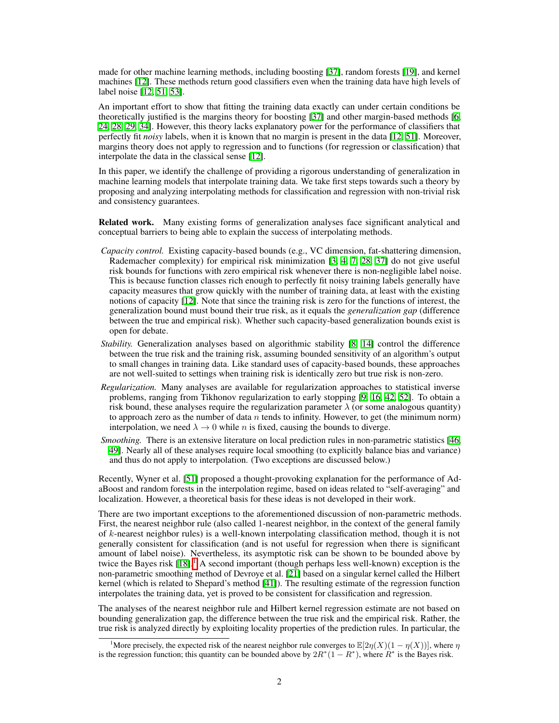made for other machine learning methods, including boosting  $\sqrt{37}$ , random forests  $\sqrt{19}$ , and kernel machines [\[12\]](#page-9-1). These methods return good classifiers even when the training data have high levels of label noise  $[12, 51, 53]$  $[12, 51, 53]$  $[12, 51, 53]$ .

An important effort to show that fitting the training data exactly can under certain conditions be theoretically justified is the margins theory for boosting  $[37]$  and other margin-based methods  $[6]$ [24,](#page-10-6) [28,](#page-10-7) [29,](#page-10-8) [34\]](#page-10-9). However, this theory lacks explanatory power for the performance of classifiers that perfectly fit *noisy* labels, when it is known that no margin is present in the data [\[12,](#page-9-1) [51\]](#page-11-7). Moreover, margins theory does not apply to regression and to functions (for regression or classification) that interpolate the data in the classical sense  $[12]$ .

In this paper, we identify the challenge of providing a rigorous understanding of generalization in machine learning models that interpolate training data. We take first steps towards such a theory by proposing and analyzing interpolating methods for classification and regression with non-trivial risk and consistency guarantees.

Related work. Many existing forms of generalization analyses face significant analytical and conceptual barriers to being able to explain the success of interpolating methods.

- *Capacity control.* Existing capacity-based bounds (e.g., VC dimension, fat-shattering dimension, Rademacher complexity) for empirical risk minimization  $\left[\frac{3}{4}, \frac{1}{4}, \frac{1}{2}, \frac{28}{37}\right]$  do not give useful risk bounds for functions with zero empirical risk whenever there is non-negligible label noise. This is because function classes rich enough to perfectly fit noisy training labels generally have capacity measures that grow quickly with the number of training data, at least with the existing notions of capacity  $[12]$ . Note that since the training risk is zero for the functions of interest, the generalization bound must bound their true risk, as it equals the *generalization gap* (difference between the true and empirical risk). Whether such capacity-based generalization bounds exist is open for debate.
- *Stability.* Generalization analyses based on algorithmic stability **8**, **14** control the difference between the true risk and the training risk, assuming bounded sensitivity of an algorithm's output to small changes in training data. Like standard uses of capacity-based bounds, these approaches are not well-suited to settings when training risk is identically zero but true risk is non-zero.
- *Regularization.* Many analyses are available for regularization approaches to statistical inverse problems, ranging from Tikhonov regularization to early stopping  $[9, 16, 42, 52]$  $[9, 16, 42, 52]$  $[9, 16, 42, 52]$  $[9, 16, 42, 52]$  $[9, 16, 42, 52]$  $[9, 16, 42, 52]$  $[9, 16, 42, 52]$ . To obtain a risk bound, these analyses require the regularization parameter  $\lambda$  (or some analogous quantity) to approach zero as the number of data *n* tends to infinity. However, to get (the minimum norm) interpolation, we need  $\lambda \rightarrow 0$  while *n* is fixed, causing the bounds to diverge.
- *Smoothing.* There is an extensive literature on local prediction rules in non-parametric statistics [\[46,](#page-11-3) [49\]](#page-11-1). Nearly all of these analyses require local smoothing (to explicitly balance bias and variance) and thus do not apply to interpolation. (Two exceptions are discussed below.)

Recently, Wyner et al. [\[51\]](#page-11-7) proposed a thought-provoking explanation for the performance of AdaBoost and random forests in the interpolation regime, based on ideas related to "self-averaging" and localization. However, a theoretical basis for these ideas is not developed in their work.

There are two important exceptions to the aforementioned discussion of non-parametric methods. First, the nearest neighbor rule (also called 1-nearest neighbor, in the context of the general family of *k*-nearest neighbor rules) is a well-known interpolating classification method, though it is not generally consistent for classification (and is not useful for regression when there is significant amount of label noise). Nevertheless, its asymptotic risk can be shown to be bounded above by twice the Bayes risk  $[18]$ .<sup>[1](#page-1-0)</sup> A second important (though perhaps less well-known) exception is the non-parametric smoothing method of Devroye et al.  $[21]$  based on a singular kernel called the Hilbert kernel (which is related to Shepard's method  $[41]$ ). The resulting estimate of the regression function interpolates the training data, yet is proved to be consistent for classification and regression.

The analyses of the nearest neighbor rule and Hilbert kernel regression estimate are not based on bounding generalization gap, the difference between the true risk and the empirical risk. Rather, the true risk is analyzed directly by exploiting locality properties of the prediction rules. In particular, the

<span id="page-1-0"></span><sup>&</sup>lt;sup>1</sup>More precisely, the expected risk of the nearest neighbor rule converges to  $\mathbb{E}[2\eta(X)(1 - \eta(X))]$ , where  $\eta$ is the regression function; this quantity can be bounded above by  $2R*(1 - R^*)$ , where  $R^*$  is the Bayes risk.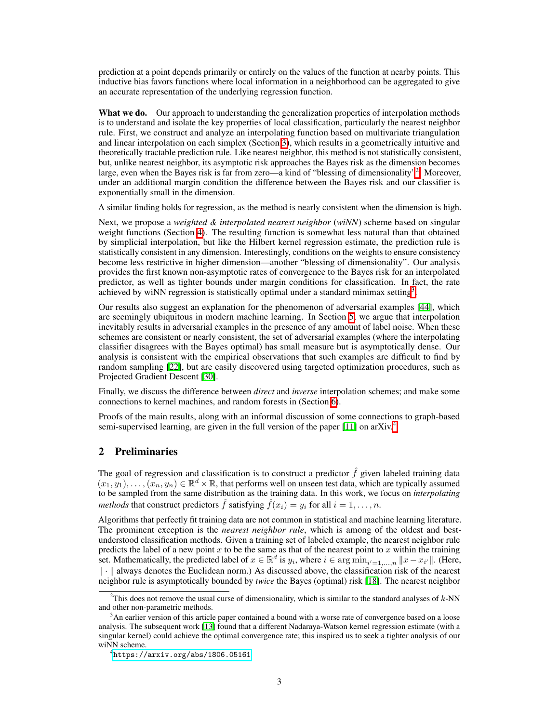prediction at a point depends primarily or entirely on the values of the function at nearby points. This inductive bias favors functions where local information in a neighborhood can be aggregated to give an accurate representation of the underlying regression function.

What we do. Our approach to understanding the generalization properties of interpolation methods is to understand and isolate the key properties of local classification, particularly the nearest neighbor rule. First, we construct and analyze an interpolating function based on multivariate triangulation and linear interpolation on each simplex (Section  $\overline{3}$ ), which results in a geometrically intuitive and theoretically tractable prediction rule. Like nearest neighbor, this method is not statistically consistent, but, unlike nearest neighbor, its asymptotic risk approaches the Bayes risk as the dimension becomes large, even when the Bayes risk is far from zero—a kind of "blessing of dimensionality"<sup>2</sup>. Moreover, under an additional margin condition the difference between the Bayes risk and our classifier is exponentially small in the dimension.

A similar finding holds for regression, as the method is nearly consistent when the dimension is high.

Next, we propose a *weighted & interpolated nearest neighbor* (*wiNN*) scheme based on singular weight functions (Section  $\overline{4}$ ). The resulting function is somewhat less natural than that obtained by simplicial interpolation, but like the Hilbert kernel regression estimate, the prediction rule is statistically consistent in any dimension. Interestingly, conditions on the weights to ensure consistency become less restrictive in higher dimension—another "blessing of dimensionality". Our analysis provides the first known non-asymptotic rates of convergence to the Bayes risk for an interpolated predictor, as well as tighter bounds under margin conditions for classification. In fact, the rate achieved by wiNN regression is statistically optimal under a standard minimax setting<sup>3</sup>.

Our results also suggest an explanation for the phenomenon of adversarial examples  $[44]$ , which are seemingly ubiquitous in modern machine learning. In Section  $\overline{5}$ , we argue that interpolation inevitably results in adversarial examples in the presence of any amount of label noise. When these schemes are consistent or nearly consistent, the set of adversarial examples (where the interpolating classifier disagrees with the Bayes optimal) has small measure but is asymptotically dense. Our analysis is consistent with the empirical observations that such examples are difficult to find by random sampling  $[22]$ , but are easily discovered using targeted optimization procedures, such as Projected Gradient Descent [\[30\]](#page-10-13).

Finally, we discuss the difference between *direct* and *inverse* interpolation schemes; and make some connections to kernel machines, and random forests in (Section  $\overline{6}$ ).

Proofs of the main results, along with an informal discussion of some connections to graph-based semi-supervised learning, are given in the full version of the paper  $\llbracket \text{11} \rrbracket$  on arXiv.

# 2 Preliminaries

The goal of regression and classification is to construct a predictor  $\hat{f}$  given labeled training data  $(x_1, y_1), \ldots, (x_n, y_n) \in \mathbb{R}^d \times \mathbb{R}$ , that performs well on unseen test data, which are typically assumed to be sampled from the same distribution as the training data. In this work, we focus on *interpolating methods* that construct predictors  $\hat{f}$  satisfying  $\hat{f}(x_i) = y_i$  for all  $i = 1, \ldots, n$ .

Algorithms that perfectly fit training data are not common in statistical and machine learning literature. The prominent exception is the *nearest neighbor rule*, which is among of the oldest and bestunderstood classification methods. Given a training set of labeled example, the nearest neighbor rule predicts the label of a new point  $x$  to be the same as that of the nearest point to  $x$  within the training set. Mathematically, the predicted label of  $x \in \mathbb{R}^d$  is  $y_i$ , where  $i \in \arg \min_{i'=1,...,n} ||x - x_{i'}||$ . (Here,  $\| \cdot \|$  always denotes the Euclidean norm.) As discussed above, the classification risk of the nearest neighbor rule is asymptotically bounded by *twice* the Bayes (optimal) risk [\[18\]](#page-10-10). The nearest neighbor

<span id="page-2-0"></span><sup>2</sup> This does not remove the usual curse of dimensionality, which is similar to the standard analyses of *k*-NN and other non-parametric methods.

<span id="page-2-1"></span><sup>&</sup>lt;sup>3</sup>An earlier version of this article paper contained a bound with a worse rate of convergence based on a loose analysis. The subsequent work [\[13\]](#page-9-11) found that a different Nadaraya-Watson kernel regression estimate (with a singular kernel) could achieve the optimal convergence rate; this inspired us to seek a tighter analysis of our wiNN scheme.

<span id="page-2-2"></span><sup>4</sup> <https://arxiv.org/abs/1806.05161>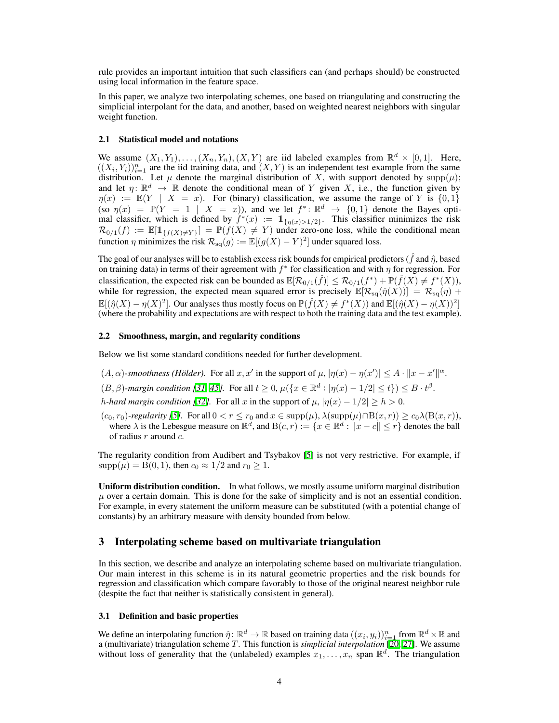rule provides an important intuition that such classifiers can (and perhaps should) be constructed using local information in the feature space.

In this paper, we analyze two interpolating schemes, one based on triangulating and constructing the simplicial interpolant for the data, and another, based on weighted nearest neighbors with singular weight function.

#### 2.1 Statistical model and notations

We assume  $(X_1, Y_1), \ldots, (X_n, Y_n), (X, Y)$  are iid labeled examples from  $\mathbb{R}^d \times [0,1]$ . Here,  $((X_i, Y_i))_{i=1}^n$  are the iid training data, and  $(X, Y)$  is an independent test example from the same distribution. Let  $\mu$  denote the marginal distribution of *X*, with support denoted by supp $(\mu)$ ; and let  $\eta: \mathbb{R}^d \to \mathbb{R}$  denote the conditional mean of *Y* given *X*, i.e., the function given by  $\eta(x) := \mathbb{E}(Y | X = x)$ . For (binary) classification, we assume the range of Y is  $\{0,1\}$ (so  $\eta(x) = \mathbb{P}(Y = 1 \mid X = x)$ ), and we let  $f^* \colon \mathbb{R}^d \to \{0,1\}$  denote the Bayes optimal classifier, which is defined by  $f^*(x) := 1_{\{\eta(x) > 1/2\}}$ . This classifier minimizes the risk  $\mathcal{R}_{0/1}(f) := \mathbb{E}[\mathbb{1}_{\{f(X) \neq Y\}}] = \mathbb{P}(f(X) \neq Y)$  under zero-one loss, while the conditional mean function  $\eta$  minimizes the risk  $\mathcal{R}_{sq}(g) := \mathbb{E}[(g(X) - Y)^2]$  under squared loss.

The goal of our analyses will be to establish excess risk bounds for empirical predictors ( $\hat{f}$  and  $\hat{\eta}$ , based on training data) in terms of their agreement with  $f^*$  for classification and with  $\eta$  for regression. For classification, the expected risk can be bounded as  $\mathbb{E}[\mathcal{R}_{0/1}(\hat{f})] \leq \mathcal{R}_{0/1}(f^*) + \mathbb{P}(\hat{f}(X) \neq f^*(X)),$ while for regression, the expected mean squared error is precisely  $\mathbb{E}[\mathcal{R}_{sq}(\hat{\eta}(X))] = \mathcal{R}_{sq}(\eta) +$  $\mathbb{E}[(\hat{\eta}(X) - \eta(X)^2]$ . Our analyses thus mostly focus on  $\mathbb{P}(\hat{f}(X) \neq f^*(X))$  and  $\mathbb{E}[(\hat{\eta}(X) - \eta(X))^2]$ (where the probability and expectations are with respect to both the training data and the test example).

#### 2.2 Smoothness, margin, and regularity conditions

Below we list some standard conditions needed for further development.

- $(A, \alpha)$ -smoothness (Hölder). For all  $x, x'$  in the support of  $\mu$ ,  $|\eta(x) \eta(x')| \leq A \cdot ||x x'||^{\alpha}$ .
- $(B, \beta)$ -margin condition  $[\overline{31}, \overline{45}]$ . For all  $t \ge 0$ ,  $\mu({x \in \mathbb{R}^d : |\eta(x) 1/2| \le t}) \le B \cdot t^{\beta}$ .
- *h*-*hard margin condition [\[32\]](#page-10-15).* For all *x* in the support of  $\mu$ ,  $|\eta(x) 1/2| \ge h > 0$ .
- $(c_0, r_0)$ -regularity  $\sqrt{5}$ . For all  $0 < r \leq r_0$  and  $x \in \text{supp}(\mu)$ ,  $\lambda(\text{supp}(\mu) \cap B(x, r)) \geq c_0 \lambda(B(x, r)),$ where  $\lambda$  is the Lebesgue measure on  $\mathbb{R}^d$ , and  $B(c, r) := \{x \in \mathbb{R}^d : ||x - c|| \leq r\}$  denotes the ball of radius *r* around *c*.

The regularity condition from Audibert and Tsybakov  $\sqrt{5}$  is not very restrictive. For example, if  $\text{supp}(\mu) = B(0, 1)$ , then  $c_0 \approx 1/2$  and  $r_0 \ge 1$ .

Uniform distribution condition. In what follows, we mostly assume uniform marginal distribution  $\mu$  over a certain domain. This is done for the sake of simplicity and is not an essential condition. For example, in every statement the uniform measure can be substituted (with a potential change of constants) by an arbitrary measure with density bounded from below.

## <span id="page-3-0"></span>3 Interpolating scheme based on multivariate triangulation

In this section, we describe and analyze an interpolating scheme based on multivariate triangulation. Our main interest in this scheme is in its natural geometric properties and the risk bounds for regression and classification which compare favorably to those of the original nearest neighbor rule (despite the fact that neither is statistically consistent in general).

#### 3.1 Definition and basic properties

We define an interpolating function  $\hat{\eta} : \mathbb{R}^d \to \mathbb{R}$  based on training data  $((x_i, y_i))_{i=1}^n$  from  $\mathbb{R}^d \times \mathbb{R}$  and a (multivariate) triangulation scheme *T*. This function is *simplicial interpolation* [\[20,](#page-10-16) [27\]](#page-10-17). We assume without loss of generality that the (unlabeled) examples  $x_1, \ldots, x_n$  span  $\mathbb{R}^d$ . The triangulation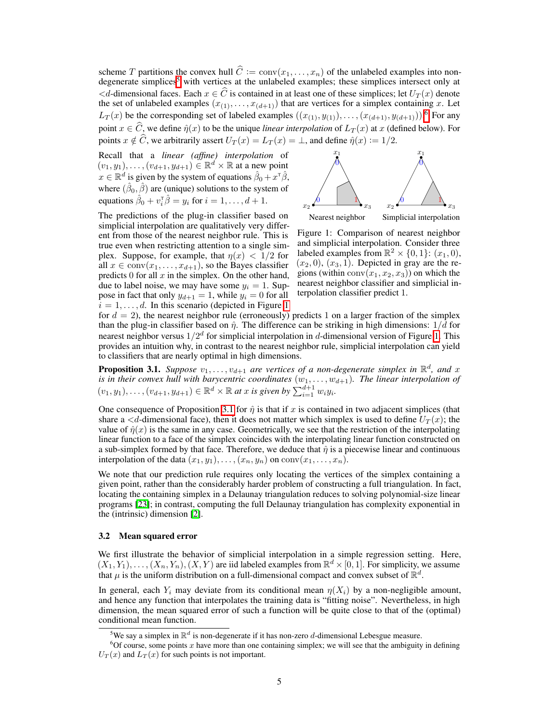scheme T partitions the convex hull  $C := conv(x_1, ..., x_n)$  of the unlabeled examples into non-<br>degenerate simplices  $\lceil \cdot \rceil$  with vertices at the unlabeled examples; these simplices intersect only at  $d$ -dimensional faces. Each  $x \in \widehat{C}$  is contained in at least one of these simplices; let  $U_T(x)$  denote the set of unlabeled examples  $(x_{(1)},...,x_{(d+1)})$  that are vertices for a simplex containing *x*. Let  $L_T(x)$  be the corresponding set of labeled examples  $((x_{(1)}, y_{(1)}), \ldots, (x_{(d+1)}, y_{(d+1)}))$ . point  $x \in C$ , we define  $\hat{\eta}(x)$  to be the unique *linear interpolation* of  $L_T(x)$  at *x* (defined below). For points  $x \notin C$ , we arbitrarily assert  $U_T(x) = L_T(x) = \bot$ , and define  $\hat{\eta}(x) := 1/2$ .

Recall that a *linear (affine) interpolation* of  $(v_1, y_1), \ldots, (v_{d+1}, y_{d+1}) \in \mathbb{R}^d \times \mathbb{R}$  at a new point  $x \in \mathbb{R}^d$  is given by the system of equations  $\hat{\beta}_0 + x^{\dagger} \hat{\beta}$ , where  $(\hat{\beta}_0, \hat{\beta})$  are (unique) solutions to the system of equations  $\hat{\beta}_0 + v_i^{\dagger} \hat{\beta} = y_i$  for  $i = 1, ..., d + 1$ .

<span id="page-4-2"></span>

Nearest neighbor Simplicial interpolation

The predictions of the plug-in classifier based on simplicial interpolation are qualitatively very different from those of the nearest neighbor rule. This is true even when restricting attention to a single simplex. Suppose, for example, that  $\eta(x) < 1/2$  for all  $x \in \text{conv}(x_1, \ldots, x_{d+1})$ , so the Bayes classifier predicts  $0$  for all  $x$  in the simplex. On the other hand, due to label noise, we may have some  $y_i = 1$ . Suppose in fact that only  $y_{d+1} = 1$ , while  $y_i = 0$  for all  $i = 1, \ldots, d$  $i = 1, \ldots, d$  $i = 1, \ldots, d$ . In this scenario (depicted in Figure 1)

Figure 1: Comparison of nearest neighbor and simplicial interpolation. Consider three labeled examples from  $\mathbb{R}^2 \times \{0,1\}$ :  $(x_1, 0)$ ,  $(x_2, 0), (x_3, 1)$ . Depicted in gray are the regions (within  $conv(x_1, x_2, x_3)$ ) on which the nearest neighbor classifier and simplicial interpolation classifier predict 1.

for  $d = 2$ ), the nearest neighbor rule (erroneously) predicts 1 on a larger fraction of the simplex than the plug-in classifier based on  $\hat{\eta}$ . The difference can be striking in high dimensions:  $1/d$  for nearest neighbor versus  $1/2^d$  for simplicial interpolation in *d*-dimensional version of Figure [1.](#page-4-2) This provides an intuition why, in contrast to the nearest neighbor rule, simplicial interpolation can yield to classifiers that are nearly optimal in high dimensions.

<span id="page-4-3"></span>**Proposition 3.1.** *Suppose*  $v_1, \ldots, v_{d+1}$  *are vertices of a non-degenerate simplex in*  $\mathbb{R}^d$ *, and x is in their convex hull with barycentric coordinates* (*w*1*,...,wd*+1)*. The linear interpolation of*  $(v_1, y_1), \ldots, (v_{d+1}, y_{d+1}) \in \mathbb{R}^d \times \mathbb{R}$  at *x* is given by  $\sum_{i=1}^{d+1} w_i y_i$ .

One consequence of Proposition  $\overline{3.1}$  for  $\hat{\eta}$  is that if *x* is contained in two adjacent simplices (that share a  $\lt d$ -dimensional face), then it does not matter which simplex is used to define  $U_T(x)$ ; the value of  $\hat{\eta}(x)$  is the same in any case. Geometrically, we see that the restriction of the interpolating linear function to a face of the simplex coincides with the interpolating linear function constructed on a sub-simplex formed by that face. Therefore, we deduce that  $\hat{\eta}$  is a piecewise linear and continuous interpolation of the data  $(x_1, y_1), \ldots, (x_n, y_n)$  on  $conv(x_1, \ldots, x_n)$ .

We note that our prediction rule requires only locating the vertices of the simplex containing a given point, rather than the considerably harder problem of constructing a full triangulation. In fact, locating the containing simplex in a Delaunay triangulation reduces to solving polynomial-size linear programs  $[23]$ ; in contrast, computing the full Delaunay triangulation has complexity exponential in the (intrinsic) dimension  $[2]$ .

#### <span id="page-4-5"></span>3.2 Mean squared error

We first illustrate the behavior of simplicial interpolation in a simple regression setting. Here,  $(X_1, Y_1), \ldots, (X_n, Y_n), (X, Y)$  are iid labeled examples from  $\mathbb{R}^d \times [0, 1]$ . For simplicity, we assume that  $\mu$  is the uniform distribution on a full-dimensional compact and convex subset of  $\mathbb{R}^d$ .

In general, each  $Y_i$  may deviate from its conditional mean  $\eta(X_i)$  by a non-negligible amount, and hence any function that interpolates the training data is "fitting noise". Nevertheless, in high dimension, the mean squared error of such a function will be quite close to that of the (optimal) conditional mean function.

<span id="page-4-4"></span><span id="page-4-1"></span><span id="page-4-0"></span><sup>&</sup>lt;sup>5</sup>We say a simplex in  $\mathbb{R}^d$  is non-degenerate if it has non-zero *d*-dimensional Lebesgue measure.

 ${}^{6}$ Of course, some points *x* have more than one containing simplex; we will see that the ambiguity in defining  $U_T(x)$  and  $L_T(x)$  for such points is not important.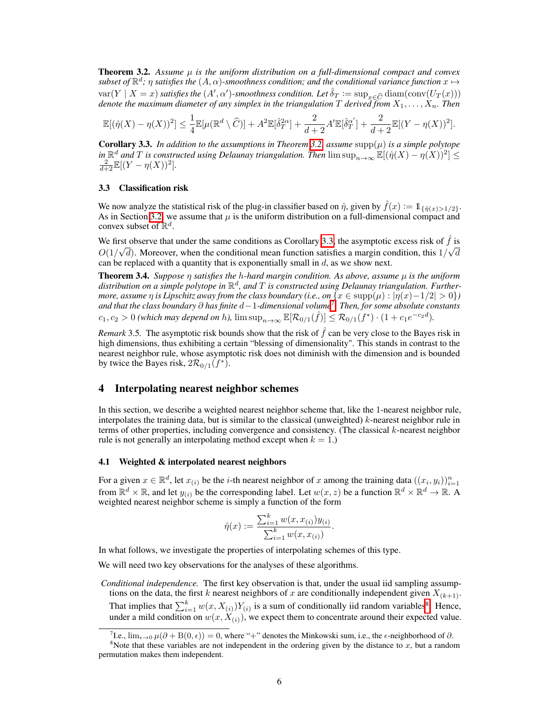Theorem 3.2. *Assume µ is the uniform distribution on a full-dimensional compact and convex subset of*  $\mathbb{R}^d$ *;*  $\eta$  *satisfies the*  $(A, \alpha)$ *-smoothness condition; and the conditional variance function*  $x \mapsto$  $var(Y \mid X = x)$  *satisfies the*  $(A', \alpha')$ -*smoothness condition. Let*  $\hat{\delta}_T := \sup_{x \in \widehat{C}} \text{diam}(\text{conv}(U_T(x)))$ *denote the maximum diameter of any simplex in the triangulation T derived from X*1*,...,Xn. Then*

$$
\mathbb{E}[(\hat{\eta}(X) - \eta(X))^2] \leq \frac{1}{4} \mathbb{E}[\mu(\mathbb{R}^d \setminus \widehat{C})] + A^2 \mathbb{E}[\hat{\delta}_T^{2\alpha}] + \frac{2}{d+2} A' \mathbb{E}[\hat{\delta}_T^{\alpha'}] + \frac{2}{d+2} \mathbb{E}[(Y - \eta(X))^2].
$$

<span id="page-5-1"></span>**Corollary 3.3.** *In addition to the assumptions in Theorem*  $\overline{3.2}$ *, assume* supp $(\mu)$  *is a simple polytope in*  $\mathbb{R}^d$  *and T is constructed using Delaunay triangulation. Then*  $\limsup_{n\to\infty} \mathbb{E}[(\hat{\eta}(X) - \eta(X))^2] \le \frac{2}{d+2} \mathbb{E}[(Y - \eta(X))^2]$ .

#### <span id="page-5-4"></span>3.3 Classification risk

We now analyze the statistical risk of the plug-in classifier based on  $\hat{\eta}$ , given by  $\hat{f}(x) := 1_{\{\hat{\eta}(x) > 1/2\}}$ . As in Section  $\overline{3.2}$ , we assume that  $\mu$  is the uniform distribution on a full-dimensional compact and convex subset of R*d*.

We first observe that under the same conditions as Corollary  $3.3$ , the asymptotic excess risk of  $\hat{f}$  is  $O(1/\sqrt{d})$ . Moreover, when the conditional mean function satisfies a margin condition, this  $1/\sqrt{d}$ can be replaced with a quantity that is exponentially small in *d*, as we show next.

**Theorem 3.4.** *Suppose*  $\eta$  *satisfies the*  $h$ *-hard margin condition. As above, assume*  $\mu$  *is the uniform distribution on a simple polytope in* R*<sup>d</sup>, and T is constructed using Delaunay triangulation. Furthermore, assume*  $\eta$  *is Lipschitz away from the class boundary (i.e., on*  $\{x \in \text{supp}(\mu) : |\eta(x) - 1/2| > 0\}$ ) and that the class boundary  $\partial$  has finite  $d-1$ -dimensional volume<sup>[7](#page-5-2)</sup>. Then, for some absolute constants  $c_1, c_2 > 0$  *(which may depend on h),*  $\limsup_{n \to \infty} \mathbb{E}[\mathcal{R}_{0/1}(\hat{f})] \leq \mathcal{R}_{0/1}(f^*) \cdot (1 + c_1 e^{-c_2 d})$ .

*Remark* 3.5. The asymptotic risk bounds show that the risk of  $\hat{f}$  can be very close to the Bayes risk in high dimensions, thus exhibiting a certain "blessing of dimensionality". This stands in contrast to the nearest neighbor rule, whose asymptotic risk does not diminish with the dimension and is bounded by twice the Bayes risk,  $2\mathcal{R}_{0/1}(f^*)$ .

## <span id="page-5-0"></span>4 Interpolating nearest neighbor schemes

In this section, we describe a weighted nearest neighbor scheme that, like the 1-nearest neighbor rule, interpolates the training data, but is similar to the classical (unweighted) *k*-nearest neighbor rule in terms of other properties, including convergence and consistency. (The classical *k*-nearest neighbor rule is not generally an interpolating method except when  $k = 1$ .)

#### 4.1 Weighted & interpolated nearest neighbors

For a given  $x \in \mathbb{R}^d$ , let  $x_{(i)}$  be the *i*-th nearest neighbor of x among the training data  $((x_i, y_i))_{i=1}^n$ <br>from  $\mathbb{R}^d \times \mathbb{R}$ , and let  $y_{(i)}$  be the corresponding label. Let  $w(x, z)$  be a function  $\mathbb{R}^d \$ weighted nearest neighbor scheme is simply a function of the form

$$
\hat{\eta}(x) := \frac{\sum_{i=1}^{k} w(x, x_{(i)}) y_{(i)}}{\sum_{i=1}^{k} w(x, x_{(i)})}.
$$

In what follows, we investigate the properties of interpolating schemes of this type.

We will need two key observations for the analyses of these algorithms.

*Conditional independence.* The first key observation is that, under the usual iid sampling assumptions on the data, the first *k* nearest neighbors of *x* are conditionally independent given  $X_{(k+1)}$ . That implies that  $\sum_{i=1}^{k} w(x, X_{(i)}) Y_{(i)}$  is a sum of conditionally iid random variables. Hence, under a mild condition on  $w(x, X_{(i)})$ , we expect them to concentrate around their expected value.

<span id="page-5-3"></span><span id="page-5-2"></span>T.e.,  $\lim_{\epsilon \to 0} \mu(\partial + B(0, \epsilon)) = 0$ , where "+" denotes the Minkowski sum, i.e., the  $\epsilon$ -neighborhood of  $\partial$ .

<sup>&</sup>lt;sup>8</sup>Note that these variables are not independent in the ordering given by the distance to  $x$ , but a random permutation makes them independent.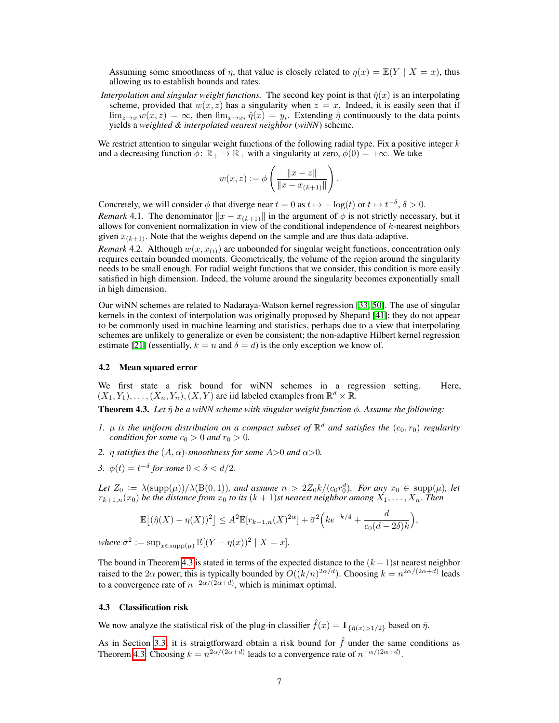Assuming some smoothness of *n*, that value is closely related to  $\eta(x) = \mathbb{E}(Y | X = x)$ , thus allowing us to establish bounds and rates.

*Interpolation and singular weight functions.* The second key point is that  $\hat{\eta}(x)$  is an interpolating scheme, provided that  $w(x, z)$  has a singularity when  $z = x$ . Indeed, it is easily seen that if  $\lim_{z\to x} w(x, z) = \infty$ , then  $\lim_{x\to x_i} \hat{\eta}(x) = y_i$ . Extending  $\hat{\eta}$  continuously to the data points yields a *weighted & interpolated nearest neighbor* (*wiNN*) scheme.

We restrict attention to singular weight functions of the following radial type. Fix a positive integer *k* and a decreasing function  $\phi: \mathbb{R}_+ \to \mathbb{R}_+$  with a singularity at zero,  $\phi(0) = +\infty$ . We take

$$
w(x,z) := \phi\left(\frac{\|x-z\|}{\|x-x_{(k+1)}\|}\right).
$$

Concretely, we will consider  $\phi$  that diverge near  $t = 0$  as  $t \mapsto -\log(t)$  or  $t \mapsto t^{-\delta}, \delta > 0$ .

*Remark* 4.1. The denominator  $||x - x_{(k+1)}||$  in the argument of  $\phi$  is not strictly necessary, but it allows for convenient normalization in view of the conditional independence of *k*-nearest neighbors given  $x_{(k+1)}$ . Note that the weights depend on the sample and are thus data-adaptive.

*Remark* 4.2. Although  $w(x, x_{(i)})$  are unbounded for singular weight functions, concentration only requires certain bounded moments. Geometrically, the volume of the region around the singularity needs to be small enough. For radial weight functions that we consider, this condition is more easily satisfied in high dimension. Indeed, the volume around the singularity becomes exponentially small in high dimension.

Our wiNN schemes are related to Nadaraya-Watson kernel regression [\[33,](#page-10-19) [50\]](#page-11-12). The use of singular kernels in the context of interpolation was originally proposed by Shepard  $[41]$ ; they do not appear to be commonly used in machine learning and statistics, perhaps due to a view that interpolating schemes are unlikely to generalize or even be consistent; the non-adaptive Hilbert kernel regression estimate  $[21]$  (essentially,  $k = n$  and  $\delta = d$ ) is the only exception we know of.

#### 4.2 Mean squared error

We first state a risk bound for wiNN schemes in a regression setting. Here,  $(X_1, Y_1), \ldots, (X_n, Y_n), (X, Y)$  are iid labeled examples from  $\mathbb{R}^d \times \mathbb{R}$ .

<span id="page-6-0"></span>**Theorem 4.3.** Let  $\hat{\eta}$  be a wiNN scheme with singular weight function  $\phi$ . Assume the following:

- *1.*  $\mu$  *is the uniform distribution on a compact subset of*  $\mathbb{R}^d$  *and satisfies the*  $(c_0, r_0)$  *regularity condition for some*  $c_0 > 0$  *and*  $r_0 > 0$ .
- *2.*  $\eta$  *satisfies the*  $(A, \alpha)$ *-smoothness for some*  $A > 0$  *and*  $\alpha > 0$ *.*
- *3.*  $\phi(t) = t^{-\delta}$  for some  $0 < \delta < d/2$ .

*Let*  $Z_0 := \lambda(\sup(p(\mu))/\lambda(\text{B}(0,1))$ *, and assume*  $n > 2Z_0k/(c_0r_0^d)$ *. For any*  $x_0 \in \text{supp}(\mu)$ *, let*  $r_{k+1,n}(x_0)$  *be the distance from*  $x_0$  *to its*  $(k+1)$ *st nearest neighbor among*  $X_1, \ldots, X_n$ *. Then* 

$$
\mathbb{E}\big[(\hat{\eta}(X)-\eta(X))^2\big] \le A^2 \mathbb{E}[r_{k+1,n}(X)^{2\alpha}] + \bar{\sigma}^2\Big(ke^{-k/4} + \frac{d}{c_0(d-2\delta)k}\Big),
$$

 $where \ \bar{\sigma}^2 := \sup_{x \in \text{supp}(\mu)} \mathbb{E}[(Y - \eta(x))^2 \mid X = x].$ 

The bound in Theorem  $\sqrt{4.3}$  is stated in terms of the expected distance to the  $(k+1)$ st nearest neighbor raised to the 2 $\alpha$  power; this is typically bounded by  $O((k/n)^{2\alpha/d})$ . Choosing  $k = n^{2\alpha/(2\alpha+d)}$  leads to a convergence rate of  $n^{-2\alpha/(2\alpha+d)}$ , which is minimax optimal.

#### <span id="page-6-1"></span>4.3 Classification risk

We now analyze the statistical risk of the plug-in classifier  $\hat{f}(x) = 1_{\{\hat{n}(x) > 1/2\}}$  based on  $\hat{\eta}$ .

As in Section  $\left|3.3\right|$  it is straigtforward obtain a risk bound for  $\hat{f}$  under the same conditions as Theorem [4.3.](#page-6-0) Choosing  $k = n^{2\alpha/(2\alpha+d)}$  leads to a convergence rate of  $n^{-\alpha/(2\alpha+d)}$ .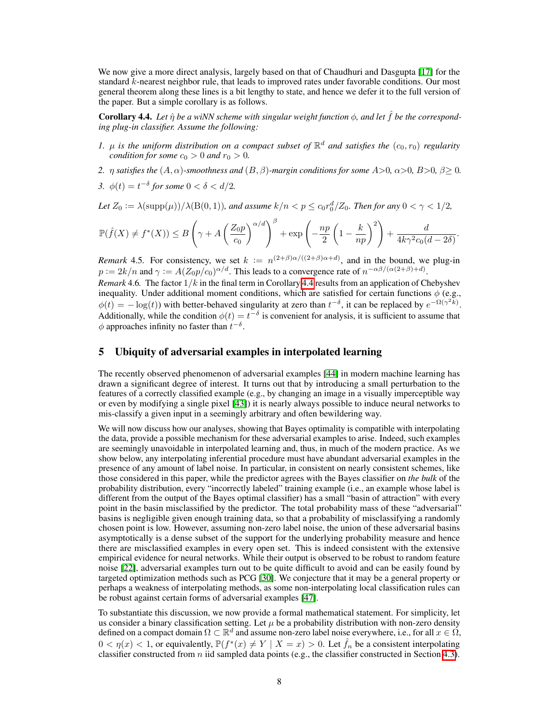We now give a more direct analysis, largely based on that of Chaudhuri and Dasgupta [\[17\]](#page-10-20) for the standard *k*-nearest neighbor rule, that leads to improved rates under favorable conditions. Our most general theorem along these lines is a bit lengthy to state, and hence we defer it to the full version of the paper. But a simple corollary is as follows.

<span id="page-7-1"></span>**Corollary 4.4.** Let  $\hat{\eta}$  be a wiNN scheme with singular weight function  $\phi$ , and let  $\hat{f}$  be the correspond*ing plug-in classifier. Assume the following:*

- *1.*  $\mu$  *is the uniform distribution on a compact subset of*  $\mathbb{R}^d$  *and satisfies the*  $(c_0, r_0)$  *regularity condition for some*  $c_0 > 0$  *and*  $r_0 > 0$ *.*
- 2.  $\eta$  satisfies the  $(A, \alpha)$ -smoothness and  $(B, \beta)$ -margin conditions for some  $A>0$ ,  $\alpha>0$ ,  $B>0$ ,  $\beta\geq 0$ .
- *3.*  $\phi(t) = t^{-\delta}$  for some  $0 < \delta < d/2$ .

*Let*  $Z_0 := \lambda(\text{supp}(\mu))/\lambda(B(0, 1))$ *, and assume*  $k/n < p \leq c_0 r_0^d/Z_0$ *. Then for any*  $0 < \gamma < 1/2$ *,* 

$$
\mathbb{P}(\hat{f}(X) \neq f^*(X)) \leq B\left(\gamma + A\left(\frac{Z_0 p}{c_0}\right)^{\alpha/d}\right)^{\beta} + \exp\left(-\frac{np}{2}\left(1 - \frac{k}{np}\right)^2\right) + \frac{d}{4k\gamma^2c_0(d-2\delta)}.
$$

*Remark* 4.5. For consistency, we set  $k := n^{(2+\beta)\alpha/((2+\beta)\alpha+d)}$ , and in the bound, we plug-in  $p := 2k/n$  and  $\gamma := A(Z_0 p/c_0)^{\alpha/d}$ . This leads to a convergence rate of  $n^{-\alpha\beta/(\alpha(2+\beta)+d)}$ . *Remark* 4.6. The factor  $1/k$  in the final term in Corollary  $\overline{4.4}$  results from an application of Chebyshev inequality. Under additional moment conditions, which are satisfied for certain functions  $\phi$  (e.g.,  $\phi(t) = -\log(t)$  with better-behaved singularity at zero than  $t^{-\delta}$ , it can be replaced by  $e^{-\Omega(\gamma^2 k)}$ . Additionally, while the condition  $\phi(t) = t^{-\delta}$  is convenient for analysis, it is sufficient to assume that  $\phi$  approaches infinity no faster than  $t^{-\delta}$ .

# <span id="page-7-0"></span>5 Ubiquity of adversarial examples in interpolated learning

The recently observed phenomenon of adversarial examples [\[44\]](#page-11-10) in modern machine learning has drawn a significant degree of interest. It turns out that by introducing a small perturbation to the features of a correctly classified example (e.g., by changing an image in a visually imperceptible way or even by modifying a single pixel  $[43]$ ) it is nearly always possible to induce neural networks to mis-classify a given input in a seemingly arbitrary and often bewildering way.

We will now discuss how our analyses, showing that Bayes optimality is compatible with interpolating the data, provide a possible mechanism for these adversarial examples to arise. Indeed, such examples are seemingly unavoidable in interpolated learning and, thus, in much of the modern practice. As we show below, any interpolating inferential procedure must have abundant adversarial examples in the presence of any amount of label noise. In particular, in consistent on nearly consistent schemes, like those considered in this paper, while the predictor agrees with the Bayes classifier on *the bulk* of the probability distribution, every "incorrectly labeled" training example (i.e., an example whose label is different from the output of the Bayes optimal classifier) has a small "basin of attraction" with every point in the basin misclassified by the predictor. The total probability mass of these "adversarial" basins is negligible given enough training data, so that a probability of misclassifying a randomly chosen point is low. However, assuming non-zero label noise, the union of these adversarial basins asymptotically is a dense subset of the support for the underlying probability measure and hence there are misclassified examples in every open set. This is indeed consistent with the extensive empirical evidence for neural networks. While their output is observed to be robust to random feature noise [\[22\]](#page-10-12), adversarial examples turn out to be quite difficult to avoid and can be easily found by targeted optimization methods such as PCG  $[30]$ . We conjecture that it may be a general property or perhaps a weakness of interpolating methods, as some non-interpolating local classification rules can be robust against certain forms of adversarial examples [\[47\]](#page-11-14).

To substantiate this discussion, we now provide a formal mathematical statement. For simplicity, let us consider a binary classification setting. Let  $\mu$  be a probability distribution with non-zero density defined on a compact domain  $\Omega \subset \mathbb{R}^d$  and assume non-zero label noise everywhere, i.e., for all  $x \in \Omega$ ,  $0 < \eta(x) < 1$ , or equivalently,  $\mathbb{P}(f^*(x) \neq Y \mid X = x) > 0$ . Let  $\hat{f}_n$  be a consistent interpolating classifier constructed from *n* iid sampled data points (e.g., the classifier constructed in Section  $\overline{4.3}$ ).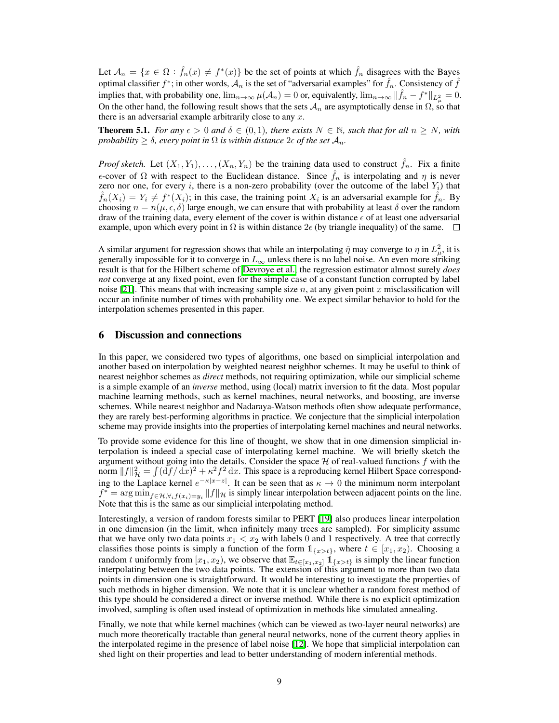Let  $A_n = \{x \in \Omega : \hat{f}_n(x) \neq f^*(x)\}$  be the set of points at which  $\hat{f}_n$  disagrees with the Bayes optimal classifier  $f^*$ ; in other words,  $A_n$  is the set of "adversarial examples" for  $f_n$ . Consistency of  $f$ implies that, with probability one,  $\lim_{n\to\infty} \mu(\mathcal{A}_n) = 0$  or, equivalently,  $\lim_{n\to\infty} \|\hat{f}_n - f^*\|_{L^2_{\mu}} = 0$ . On the other hand, the following result shows that the sets  $A_n$  are asymptotically dense in  $\Omega$ , so that there is an adversarial example arbitrarily close to any *x*.

**Theorem 5.1.** *For any*  $\epsilon > 0$  *and*  $\delta \in (0,1)$ *, there exists*  $N \in \mathbb{N}$ *, such that for all*  $n \geq N$ *, with probability*  $\geq \delta$ *, every point in*  $\Omega$  *is within distance*  $2\epsilon$  *of the set*  $\mathcal{A}_n$ *.* 

*Proof sketch.* Let  $(X_1, Y_1), \ldots, (X_n, Y_n)$  be the training data used to construct  $\hat{f}_n$ . Fix a finite  $\epsilon$ -cover of  $\Omega$  with respect to the Euclidean distance. Since  $\hat{f}_n$  is interpolating and  $\eta$  is never zero nor one, for every *i*, there is a non-zero probability (over the outcome of the label  $Y_i$ ) that  $\hat{f}_n(X_i) = Y_i \neq f^*(X_i)$ ; in this case, the training point  $X_i$  is an adversarial example for  $\hat{f}_n$ . By choosing  $n = n(\mu, \epsilon, \delta)$  large enough, we can ensure that with probability at least  $\delta$  over the random draw of the training data, every element of the cover is within distance  $\epsilon$  of at least one adversarial example, upon which every point in  $\Omega$  is within distance  $2\epsilon$  (by triangle inequality) of the same.  $\square$ 

A similar argument for regression shows that while an interpolating  $\hat{\eta}$  may converge to  $\eta$  in  $L^2_{\mu}$ , it is generally impossible for it to converge in  $L_{\infty}$  unless there is no label noise. An even more striking result is that for the Hilbert scheme of [Devroye et al.,](#page-10-11) the regression estimator almost surely *does not* converge at any fixed point, even for the simple case of a constant function corrupted by label noise [\[21\]](#page-10-11). This means that with increasing sample size *n*, at any given point *x* misclassification will occur an infinite number of times with probability one. We expect similar behavior to hold for the interpolation schemes presented in this paper.

## <span id="page-8-0"></span>6 Discussion and connections

In this paper, we considered two types of algorithms, one based on simplicial interpolation and another based on interpolation by weighted nearest neighbor schemes. It may be useful to think of nearest neighbor schemes as *direct* methods, not requiring optimization, while our simplicial scheme is a simple example of an *inverse* method, using (local) matrix inversion to fit the data. Most popular machine learning methods, such as kernel machines, neural networks, and boosting, are inverse schemes. While nearest neighbor and Nadaraya-Watson methods often show adequate performance, they are rarely best-performing algorithms in practice. We conjecture that the simplicial interpolation scheme may provide insights into the properties of interpolating kernel machines and neural networks.

To provide some evidence for this line of thought, we show that in one dimension simplicial interpolation is indeed a special case of interpolating kernel machine. We will briefly sketch the argument without going into the details. Consider the space *H* of real-valued functions *f* with the norm  $||f||^2_{\mathcal{H}} = \int (\mathrm{d}f/\mathrm{d}x)^2 + \kappa^2 f^2 \mathrm{d}x$ . This space is a reproducing kernel Hilbert Space corresponding to the Laplace kernel  $e^{-\kappa|x-z|}$ . It can be seen that as  $\kappa \to 0$  the minimum norm interpolant  $f^* = \arg \min_{f \in \mathcal{H}, \forall_i f(x_i) = y_i} ||f||_{\mathcal{H}}$  is simply linear interpolation between adjacent points on the line. Note that this is the same as our simplicial interpolating method.

Interestingly, a version of random forests similar to PERT [\[19\]](#page-10-5) also produces linear interpolation in one dimension (in the limit, when infinitely many trees are sampled). For simplicity assume that we have only two data points  $x_1 < x_2$  with labels 0 and 1 respectively. A tree that correctly classifies those points is simply a function of the form  $\mathbb{1}_{\{x>t\}}$ , where  $t \in [x_1, x_2)$ . Choosing a random t uniformly from  $[x_1, x_2)$ , we observe that  $\mathbb{E}_{t \in [x_1, x_2]}$   $\mathbb{1}_{\{x > t\}}$  is simply the linear function interpolating between the two data points. The extension of this argument to more than two data points in dimension one is straightforward. It would be interesting to investigate the properties of such methods in higher dimension. We note that it is unclear whether a random forest method of this type should be considered a direct or inverse method. While there is no explicit optimization involved, sampling is often used instead of optimization in methods like simulated annealing.

Finally, we note that while kernel machines (which can be viewed as two-layer neural networks) are much more theoretically tractable than general neural networks, none of the current theory applies in the interpolated regime in the presence of label noise  $[12]$ . We hope that simplicial interpolation can shed light on their properties and lead to better understanding of modern inferential methods.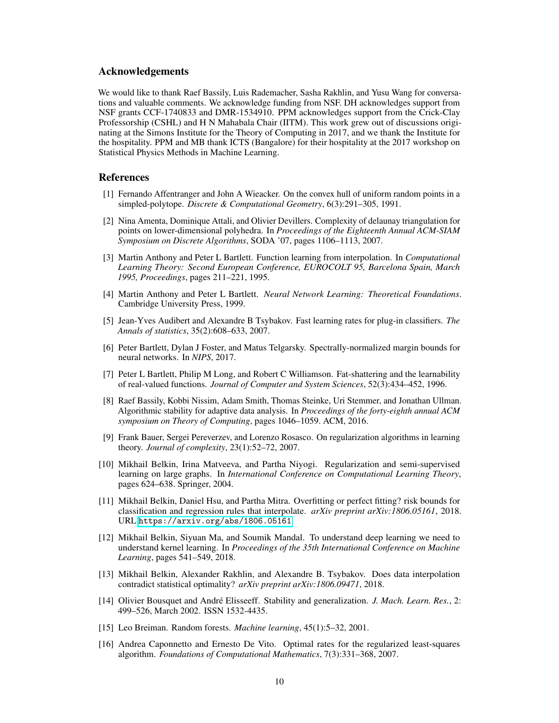## Acknowledgements

We would like to thank Raef Bassily, Luis Rademacher, Sasha Rakhlin, and Yusu Wang for conversations and valuable comments. We acknowledge funding from NSF. DH acknowledges support from NSF grants CCF-1740833 and DMR-1534910. PPM acknowledges support from the Crick-Clay Professorship (CSHL) and H N Mahabala Chair (IITM). This work grew out of discussions originating at the Simons Institute for the Theory of Computing in 2017, and we thank the Institute for the hospitality. PPM and MB thank ICTS (Bangalore) for their hospitality at the 2017 workshop on Statistical Physics Methods in Machine Learning.

### References

- [1] Fernando Affentranger and John A Wieacker. On the convex hull of uniform random points in a simpled-polytope. *Discrete & Computational Geometry*, 6(3):291–305, 1991.
- <span id="page-9-13"></span>[2] Nina Amenta, Dominique Attali, and Olivier Devillers. Complexity of delaunay triangulation for points on lower-dimensional polyhedra. In *Proceedings of the Eighteenth Annual ACM-SIAM Symposium on Discrete Algorithms*, SODA '07, pages 1106–1113, 2007.
- <span id="page-9-3"></span>[3] Martin Anthony and Peter L Bartlett. Function learning from interpolation. In *Computational Learning Theory: Second European Conference, EUROCOLT 95, Barcelona Spain, March 1995, Proceedings*, pages 211–221, 1995.
- <span id="page-9-4"></span>[4] Martin Anthony and Peter L Bartlett. *Neural Network Learning: Theoretical Foundations*. Cambridge University Press, 1999.
- <span id="page-9-12"></span>[5] Jean-Yves Audibert and Alexandre B Tsybakov. Fast learning rates for plug-in classifiers. *The Annals of statistics*, 35(2):608–633, 2007.
- <span id="page-9-2"></span>[6] Peter Bartlett, Dylan J Foster, and Matus Telgarsky. Spectrally-normalized margin bounds for neural networks. In *NIPS*, 2017.
- <span id="page-9-5"></span>[7] Peter L Bartlett, Philip M Long, and Robert C Williamson. Fat-shattering and the learnability of real-valued functions. *Journal of Computer and System Sciences*, 52(3):434–452, 1996.
- <span id="page-9-6"></span>[8] Raef Bassily, Kobbi Nissim, Adam Smith, Thomas Steinke, Uri Stemmer, and Jonathan Ullman. Algorithmic stability for adaptive data analysis. In *Proceedings of the forty-eighth annual ACM symposium on Theory of Computing*, pages 1046–1059. ACM, 2016.
- <span id="page-9-8"></span>[9] Frank Bauer, Sergei Pereverzev, and Lorenzo Rosasco. On regularization algorithms in learning theory. *Journal of complexity*, 23(1):52–72, 2007.
- [10] Mikhail Belkin, Irina Matveeva, and Partha Niyogi. Regularization and semi-supervised learning on large graphs. In *International Conference on Computational Learning Theory*, pages 624–638. Springer, 2004.
- <span id="page-9-10"></span>[11] Mikhail Belkin, Daniel Hsu, and Partha Mitra. Overfitting or perfect fitting? risk bounds for classification and regression rules that interpolate. *arXiv preprint arXiv:1806.05161*, 2018. URL <https://arxiv.org/abs/1806.05161>.
- <span id="page-9-1"></span>[12] Mikhail Belkin, Siyuan Ma, and Soumik Mandal. To understand deep learning we need to understand kernel learning. In *Proceedings of the 35th International Conference on Machine Learning*, pages 541–549, 2018.
- <span id="page-9-11"></span>[13] Mikhail Belkin, Alexander Rakhlin, and Alexandre B. Tsybakov. Does data interpolation contradict statistical optimality? *arXiv preprint arXiv:1806.09471*, 2018.
- <span id="page-9-7"></span>[14] Olivier Bousquet and André Elisseeff. Stability and generalization. *J. Mach. Learn. Res.*, 2: 499–526, March 2002. ISSN 1532-4435.
- <span id="page-9-0"></span>[15] Leo Breiman. Random forests. *Machine learning*, 45(1):5–32, 2001.
- <span id="page-9-9"></span>[16] Andrea Caponnetto and Ernesto De Vito. Optimal rates for the regularized least-squares algorithm. *Foundations of Computational Mathematics*, 7(3):331–368, 2007.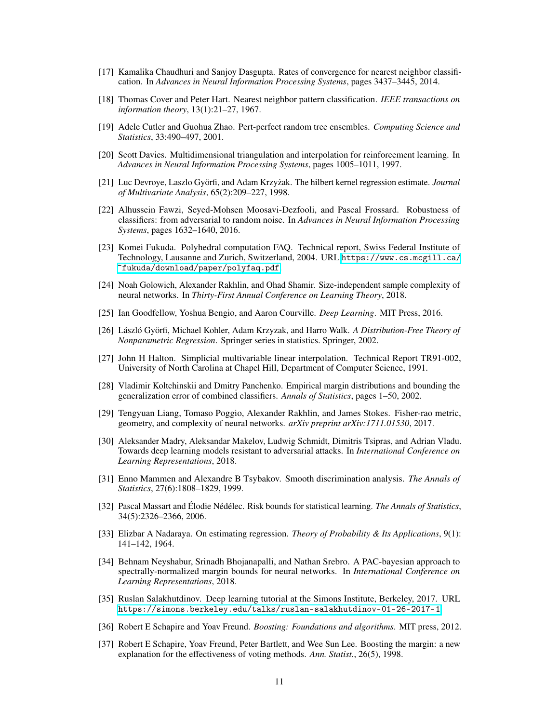- <span id="page-10-20"></span>[17] Kamalika Chaudhuri and Sanjoy Dasgupta. Rates of convergence for nearest neighbor classification. In *Advances in Neural Information Processing Systems*, pages 3437–3445, 2014.
- <span id="page-10-10"></span>[18] Thomas Cover and Peter Hart. Nearest neighbor pattern classification. *IEEE transactions on information theory*, 13(1):21–27, 1967.
- <span id="page-10-5"></span>[19] Adele Cutler and Guohua Zhao. Pert-perfect random tree ensembles. *Computing Science and Statistics*, 33:490–497, 2001.
- <span id="page-10-16"></span>[20] Scott Davies. Multidimensional triangulation and interpolation for reinforcement learning. In *Advances in Neural Information Processing Systems*, pages 1005–1011, 1997.
- <span id="page-10-11"></span>[21] Luc Devroye, Laszlo Györfi, and Adam Krzyzak. The hilbert kernel regression estimate. ˙ *Journal of Multivariate Analysis*, 65(2):209–227, 1998.
- <span id="page-10-12"></span>[22] Alhussein Fawzi, Seyed-Mohsen Moosavi-Dezfooli, and Pascal Frossard. Robustness of classifiers: from adversarial to random noise. In *Advances in Neural Information Processing Systems*, pages 1632–1640, 2016.
- <span id="page-10-18"></span>[23] Komei Fukuda. Polyhedral computation FAQ. Technical report, Swiss Federal Institute of Technology, Lausanne and Zurich, Switzerland, 2004. URL [https://www.cs.mcgill.ca/](https://www.cs.mcgill.ca/~fukuda/download/paper/polyfaq.pdf) [~fukuda/download/paper/polyfaq.pdf](https://www.cs.mcgill.ca/~fukuda/download/paper/polyfaq.pdf).
- <span id="page-10-6"></span>[24] Noah Golowich, Alexander Rakhlin, and Ohad Shamir. Size-independent sample complexity of neural networks. In *Thirty-First Annual Conference on Learning Theory*, 2018.
- <span id="page-10-1"></span>[25] Ian Goodfellow, Yoshua Bengio, and Aaron Courville. *Deep Learning*. MIT Press, 2016.
- <span id="page-10-2"></span>[26] László Györfi, Michael Kohler, Adam Krzyzak, and Harro Walk. *A Distribution-Free Theory of Nonparametric Regression*. Springer series in statistics. Springer, 2002.
- <span id="page-10-17"></span>[27] John H Halton. Simplicial multivariable linear interpolation. Technical Report TR91-002, University of North Carolina at Chapel Hill, Department of Computer Science, 1991.
- <span id="page-10-7"></span>[28] Vladimir Koltchinskii and Dmitry Panchenko. Empirical margin distributions and bounding the generalization error of combined classifiers. *Annals of Statistics*, pages 1–50, 2002.
- <span id="page-10-8"></span>[29] Tengyuan Liang, Tomaso Poggio, Alexander Rakhlin, and James Stokes. Fisher-rao metric, geometry, and complexity of neural networks. *arXiv preprint arXiv:1711.01530*, 2017.
- <span id="page-10-13"></span>[30] Aleksander Madry, Aleksandar Makelov, Ludwig Schmidt, Dimitris Tsipras, and Adrian Vladu. Towards deep learning models resistant to adversarial attacks. In *International Conference on Learning Representations*, 2018.
- <span id="page-10-14"></span>[31] Enno Mammen and Alexandre B Tsybakov. Smooth discrimination analysis. *The Annals of Statistics*, 27(6):1808–1829, 1999.
- <span id="page-10-15"></span>[32] Pascal Massart and Élodie Nédélec. Risk bounds for statistical learning. *The Annals of Statistics*, 34(5):2326–2366, 2006.
- <span id="page-10-19"></span>[33] Elizbar A Nadaraya. On estimating regression. *Theory of Probability & Its Applications*, 9(1): 141–142, 1964.
- <span id="page-10-9"></span>[34] Behnam Neyshabur, Srinadh Bhojanapalli, and Nathan Srebro. A PAC-bayesian approach to spectrally-normalized margin bounds for neural networks. In *International Conference on Learning Representations*, 2018.
- <span id="page-10-3"></span>[35] Ruslan Salakhutdinov. Deep learning tutorial at the Simons Institute, Berkeley, 2017. URL <https://simons.berkeley.edu/talks/ruslan-salakhutdinov-01-26-2017-1>.
- <span id="page-10-0"></span>[36] Robert E Schapire and Yoav Freund. *Boosting: Foundations and algorithms*. MIT press, 2012.
- <span id="page-10-4"></span>[37] Robert E Schapire, Yoav Freund, Peter Bartlett, and Wee Sun Lee. Boosting the margin: a new explanation for the effectiveness of voting methods. *Ann. Statist.*, 26(5), 1998.